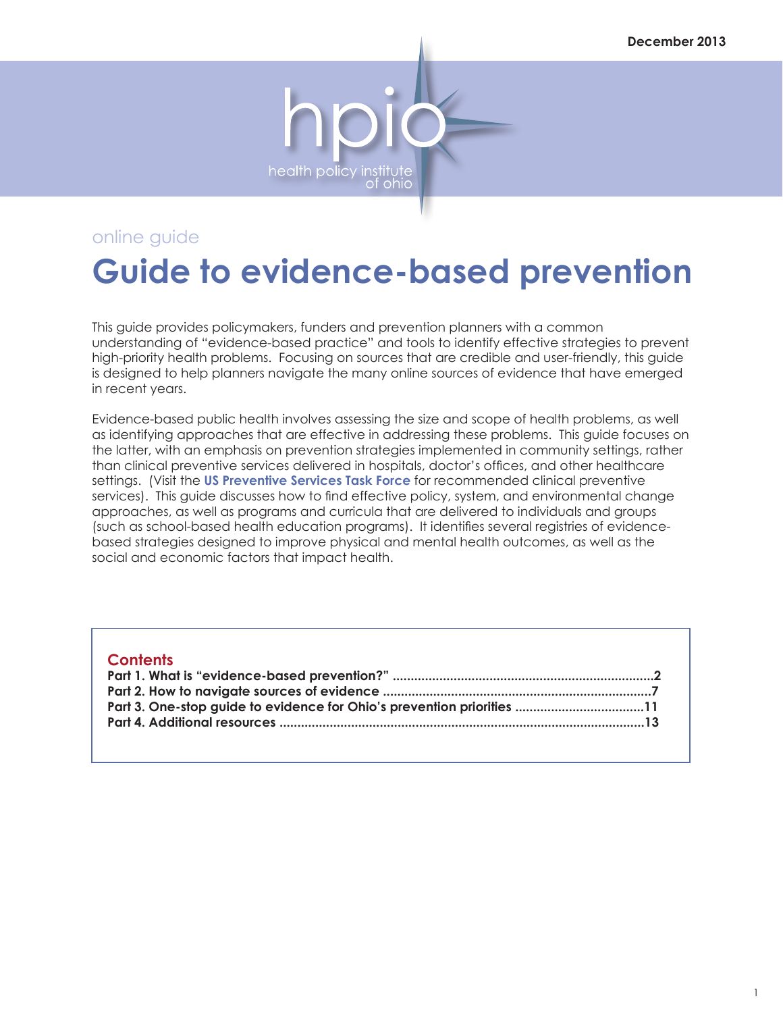

# **Guide to evidence-based prevention**

This guide provides policymakers, funders and prevention planners with a common understanding of "evidence-based practice" and tools to identify effective strategies to prevent high-priority health problems. Focusing on sources that are credible and user-friendly, this guide is designed to help planners navigate the many online sources of evidence that have emerged in recent years.

Evidence-based public health involves assessing the size and scope of health problems, as well as identifying approaches that are effective in addressing these problems. This guide focuses on the latter, with an emphasis on prevention strategies implemented in community settings, rather than clinical preventive services delivered in hospitals, doctor's offices, and other healthcare settings. (Visit the **[US Preventive Services Task Force](http://www.uspreventiveservicestaskforce.org/recommendations.htm)** for recommended clinical preventive services). This guide discusses how to find effective policy, system, and environmental change approaches, as well as programs and curricula that are delivered to individuals and groups (such as school-based health education programs). It identifies several registries of evidencebased strategies designed to improve physical and mental health outcomes, as well as the social and economic factors that impact health.

| Part 3. One-stop guide to evidence for Ohio's prevention priorities 11 |  |
|------------------------------------------------------------------------|--|
|                                                                        |  |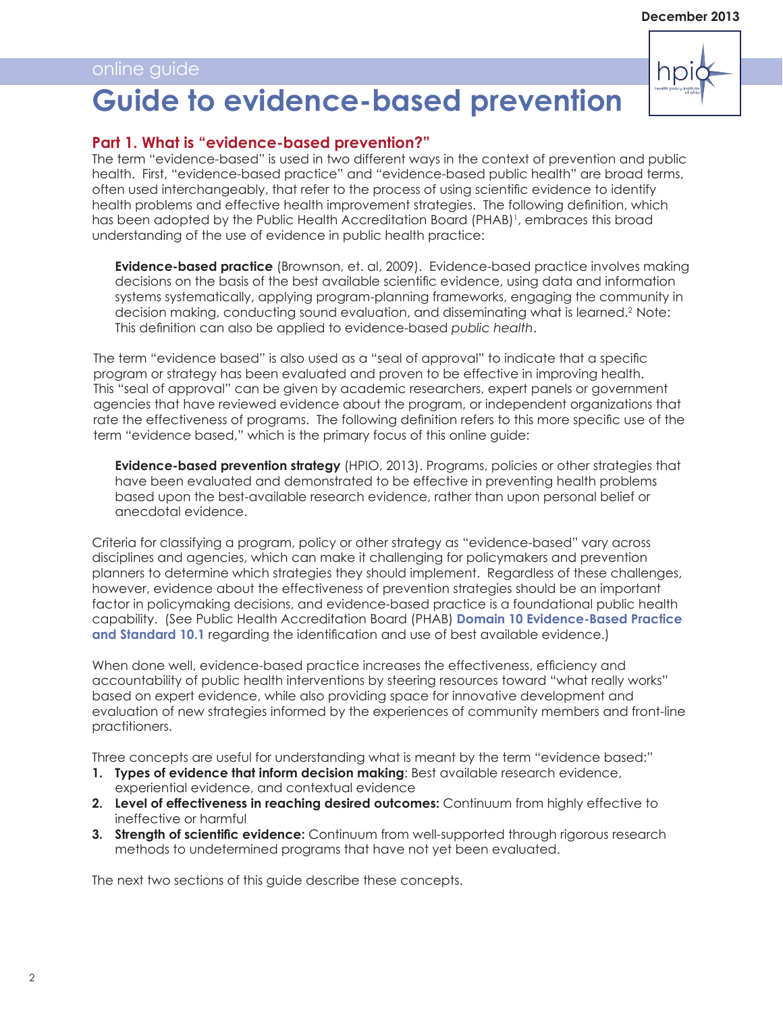# np **Guide to evidence-based prevention**

# **Part 1. What is "evidence-based prevention?"**

The term "evidence-based" is used in two different ways in the context of prevention and public health. First, "evidence-based practice" and "evidence-based public health" are broad terms, often used interchangeably, that refer to the process of using scientific evidence to identify health problems and effective health improvement strategies. The following definition, which has been adopted by the Public Health Accreditation Board (PHAB)<sup>1</sup>, embraces this broad understanding of the use of evidence in public health practice:

**Evidence-based practice** (Brownson, et. al, 2009). Evidence-based practice involves making decisions on the basis of the best available scientific evidence, using data and information systems systematically, applying program-planning frameworks, engaging the community in decision making, conducting sound evaluation, and disseminating what is learned.2 Note: This definition can also be applied to evidence-based *public health*.

The term "evidence based" is also used as a "seal of approval" to indicate that a specific program or strategy has been evaluated and proven to be effective in improving health. This "seal of approval" can be given by academic researchers, expert panels or government agencies that have reviewed evidence about the program, or independent organizations that rate the effectiveness of programs. The following definition refers to this more specific use of the term "evidence based," which is the primary focus of this online guide:

**Evidence-based prevention strategy** (HPIO, 2013). Programs, policies or other strategies that have been evaluated and demonstrated to be effective in preventing health problems based upon the best-available research evidence, rather than upon personal belief or anecdotal evidence.

Criteria for classifying a program, policy or other strategy as "evidence-based" vary across disciplines and agencies, which can make it challenging for policymakers and prevention planners to determine which strategies they should implement. Regardless of these challenges, however, evidence about the effectiveness of prevention strategies should be an important factor in policymaking decisions, and evidence-based practice is a foundational public health capability. (See Public Health Accreditation Board (PHAB) **[Domain 10 Evidence-Based Practice](http://www.phaboard.org/wp-content/uploads/PHAB-Standards-and-Measures-Version-1.0.pdf)  [and Standard 10.1](http://www.phaboard.org/wp-content/uploads/PHAB-Standards-and-Measures-Version-1.0.pdf)** regarding the identification and use of best available evidence.)

When done well, evidence-based practice increases the effectiveness, efficiency and accountability of public health interventions by steering resources toward "what really works" based on expert evidence, while also providing space for innovative development and evaluation of new strategies informed by the experiences of community members and front-line practitioners.

Three concepts are useful for understanding what is meant by the term "evidence based:"

- **1. Types of evidence that inform decision making**: Best available research evidence, experiential evidence, and contextual evidence
- **2. Level of effectiveness in reaching desired outcomes:** Continuum from highly effective to ineffective or harmful
- **3. Strength of scientific evidence:** Continuum from well-supported through rigorous research methods to undetermined programs that have not yet been evaluated.

The next two sections of this guide describe these concepts.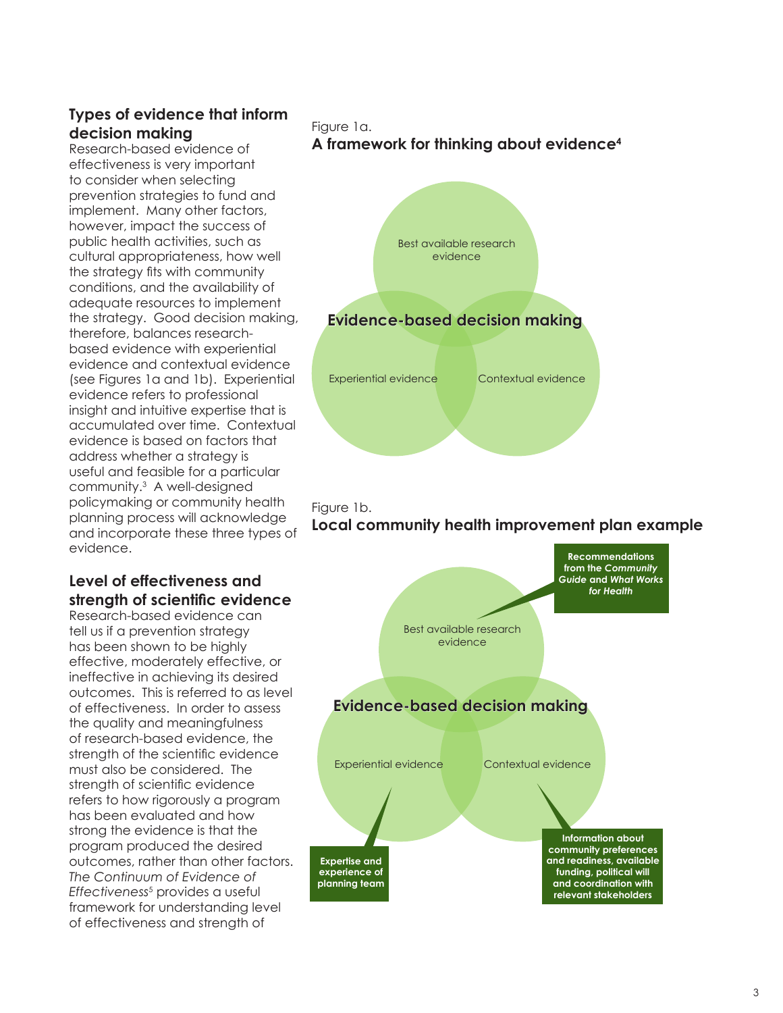# **Types of evidence that inform decision making**

Research-based evidence of effectiveness is very important to consider when selecting prevention strategies to fund and implement. Many other factors, however, impact the success of public health activities, such as cultural appropriateness, how well the strategy fits with community conditions, and the availability of adequate resources to implement the strategy. Good decision making, therefore, balances researchbased evidence with experiential evidence and contextual evidence (see Figures 1a and 1b). Experiential evidence refers to professional insight and intuitive expertise that is accumulated over time. Contextual evidence is based on factors that address whether a strategy is useful and feasible for a particular community.3 A well-designed policymaking or community health planning process will acknowledge and incorporate these three types of evidence.

### **Level of effectiveness and strength of scientific evidence**

Research-based evidence can tell us if a prevention strategy has been shown to be highly effective, moderately effective, or ineffective in achieving its desired outcomes. This is referred to as level of effectiveness. In order to assess the quality and meaningfulness of research-based evidence, the strength of the scientific evidence must also be considered. The strength of scientific evidence refers to how rigorously a program has been evaluated and how strong the evidence is that the program produced the desired outcomes, rather than other factors. *The Continuum of Evidence of Effectiveness*<sup>5</sup> provides a useful framework for understanding level of effectiveness and strength of

Figure 1a. **A framework for thinking about evidence4**





**Local community health improvement plan example**

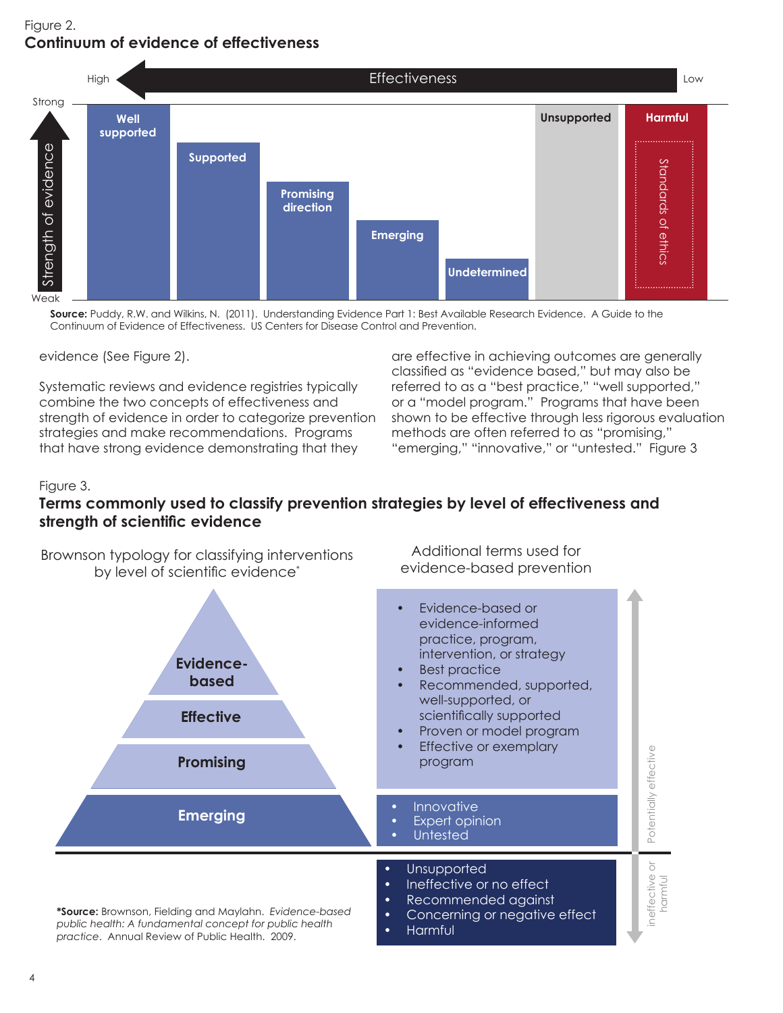# Figure 2. **Continuum of evidence of effectiveness**



**Source:** Puddy, R.W. and Wilkins, N. (2011). Understanding Evidence Part 1: Best Available Research Evidence. A Guide to the Continuum of Evidence of Effectiveness. US Centers for Disease Control and Prevention.

evidence (See Figure 2).

Systematic reviews and evidence registries typically combine the two concepts of effectiveness and strength of evidence in order to categorize prevention strategies and make recommendations. Programs that have strong evidence demonstrating that they

are effective in achieving outcomes are generally classified as "evidence based," but may also be referred to as a "best practice," "well supported," or a "model program." Programs that have been shown to be effective through less rigorous evaluation methods are often referred to as "promising," "emerging," "innovative," or "untested." Figure 3

#### Figure 3.

### **Terms commonly used to classify prevention strategies by level of effectiveness and strength of scientific evidence**

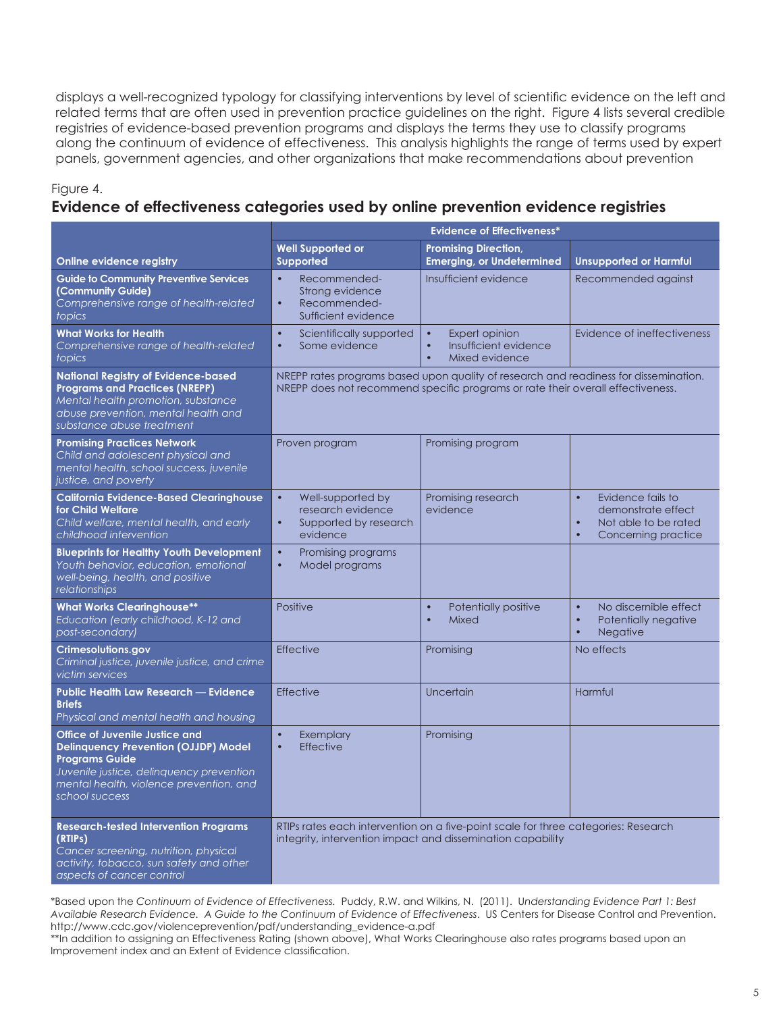displays a well-recognized typology for classifying interventions by level of scientific evidence on the left and related terms that are often used in prevention practice guidelines on the right. Figure 4 lists several credible registries of evidence-based prevention programs and displays the terms they use to classify programs along the continuum of evidence of effectiveness. This analysis highlights the range of terms used by expert panels, government agencies, and other organizations that make recommendations about prevention

#### Figure 4.

#### **Evidence of effectiveness categories used by online prevention evidence registries**

|                                                                                                                                                                                                                 | <b>Evidence of Effectiveness*</b>                                                                                                                                       |                                                                                                  |                                                                                                                               |
|-----------------------------------------------------------------------------------------------------------------------------------------------------------------------------------------------------------------|-------------------------------------------------------------------------------------------------------------------------------------------------------------------------|--------------------------------------------------------------------------------------------------|-------------------------------------------------------------------------------------------------------------------------------|
| Online evidence registry                                                                                                                                                                                        | <b>Well Supported or</b><br><b>Supported</b>                                                                                                                            | <b>Promising Direction,</b><br><b>Emerging, or Undetermined</b>                                  | <b>Unsupported or Harmful</b>                                                                                                 |
| <b>Guide to Community Preventive Services</b><br>(Community Guide)<br>Comprehensive range of health-related<br>topics                                                                                           | $\bullet$<br>Recommended-<br>Strong evidence<br>Recommended-<br>$\bullet$<br>Sufficient evidence                                                                        | Insufficient evidence                                                                            | Recommended against                                                                                                           |
| <b>What Works for Health</b><br>Comprehensive range of health-related<br>topics                                                                                                                                 | $\bullet$<br>Scientifically supported<br>Some evidence<br>$\bullet$                                                                                                     | $\bullet$<br>Expert opinion<br>Insufficient evidence<br>$\bullet$<br>$\bullet$<br>Mixed evidence | Evidence of ineffectiveness                                                                                                   |
| <b>National Registry of Evidence-based</b><br><b>Programs and Practices (NREPP)</b><br>Mental health promotion, substance<br>abuse prevention, mental health and<br>substance abuse treatment                   | NREPP rates programs based upon quality of research and readiness for dissemination.<br>NREPP does not recommend specific programs or rate their overall effectiveness. |                                                                                                  |                                                                                                                               |
| <b>Promising Practices Network</b><br>Child and adolescent physical and<br>mental health, school success, juvenile<br>justice, and poverty                                                                      | Proven program                                                                                                                                                          | Promising program                                                                                |                                                                                                                               |
| <b>California Evidence-Based Clearinghouse</b><br>for Child Welfare<br>Child welfare, mental health, and early<br>childhood intervention                                                                        | Well-supported by<br>$\bullet$<br>research evidence<br>$\bullet$<br>Supported by research<br>evidence                                                                   | Promising research<br>evidence                                                                   | Evidence fails to<br>$\bullet$<br>demonstrate effect<br>$\bullet$<br>Not able to be rated<br>Concerning practice<br>$\bullet$ |
| <b>Blueprints for Healthy Youth Development</b><br>Youth behavior, education, emotional<br>well-being, health, and positive<br>relationships                                                                    | $\bullet$<br>Promising programs<br>Model programs<br>$\bullet$                                                                                                          |                                                                                                  |                                                                                                                               |
| <b>What Works Clearinghouse**</b><br>Education (early childhood, K-12 and<br>post-secondary)                                                                                                                    | Positive                                                                                                                                                                | $\bullet$<br>Potentially positive<br>$\bullet$<br>Mixed                                          | $\bullet$<br>No discernible effect<br>Potentially negative<br>$\bullet$<br>$\bullet$<br><b>Negative</b>                       |
| Crimesolutions.gov<br>Criminal justice, juvenile justice, and crime<br>victim services                                                                                                                          | <b>Effective</b>                                                                                                                                                        | Promising                                                                                        | No effects                                                                                                                    |
| Public Health Law Research - Evidence<br><b>Briefs</b><br>Physical and mental health and housing                                                                                                                | <b>Effective</b>                                                                                                                                                        | Uncertain                                                                                        | Harmful                                                                                                                       |
| Office of Juvenile Justice and<br><b>Delinquency Prevention (OJJDP) Model</b><br><b>Programs Guide</b><br>Juvenile justice, delinquency prevention<br>mental health, violence prevention, and<br>school success | Exemplary<br>$\bullet$<br><b>Effective</b><br>$\bullet$                                                                                                                 | Promising                                                                                        |                                                                                                                               |
| <b>Research-tested Intervention Programs</b><br>(RTIPs)<br>Cancer screening, nutrition, physical<br>activity, tobacco, sun safety and other<br>aspects of cancer control                                        | RTIPs rates each intervention on a five-point scale for three categories: Research<br>integrity, intervention impact and dissemination capability                       |                                                                                                  |                                                                                                                               |

\*Based upon the *Continuum of Evidence of Effectiveness.* Puddy, R.W. and Wilkins, N. (2011). U*nderstanding Evidence Part 1: Best Available Research Evidence. A Guide to the Continuum of Evidence of Effectiveness*. US Centers for Disease Control and Prevention. http://www.cdc.gov/violenceprevention/pdf/understanding\_evidence-a.pdf

\*\*In addition to assigning an Effectiveness Rating (shown above), What Works Clearinghouse also rates programs based upon an Improvement index and an Extent of Evidence classification.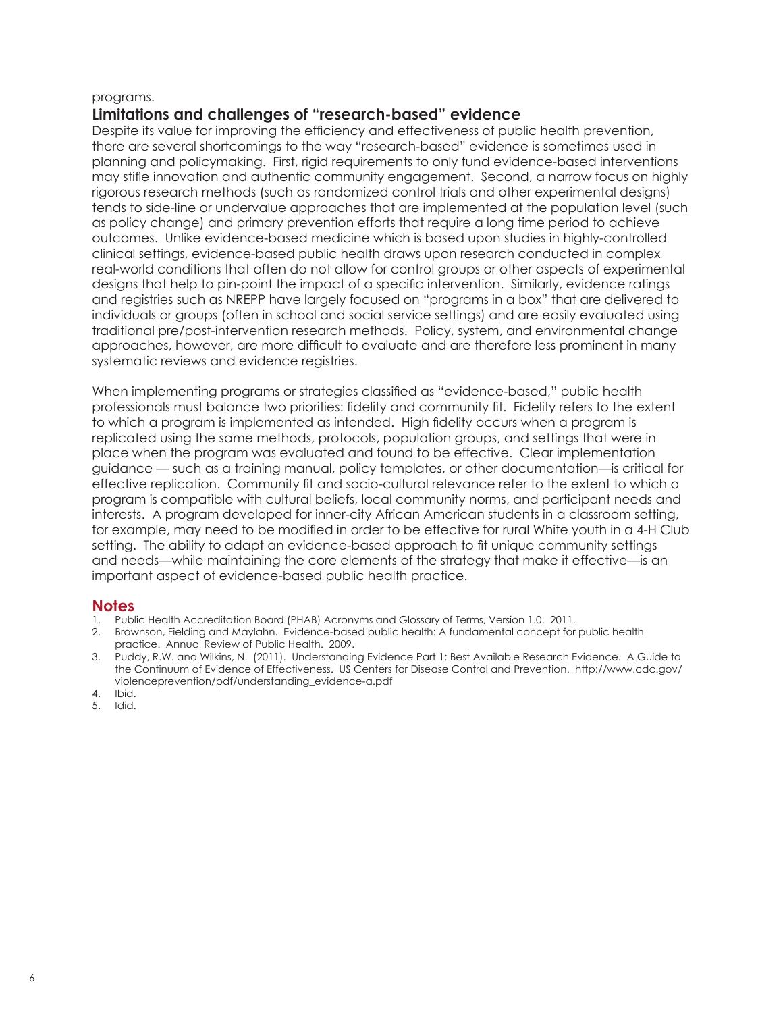#### programs.

#### **Limitations and challenges of "research-based" evidence**

Despite its value for improving the efficiency and effectiveness of public health prevention, there are several shortcomings to the way "research-based" evidence is sometimes used in planning and policymaking. First, rigid requirements to only fund evidence-based interventions may stifle innovation and authentic community engagement. Second, a narrow focus on highly rigorous research methods (such as randomized control trials and other experimental designs) tends to side-line or undervalue approaches that are implemented at the population level (such as policy change) and primary prevention efforts that require a long time period to achieve outcomes. Unlike evidence-based medicine which is based upon studies in highly-controlled clinical settings, evidence-based public health draws upon research conducted in complex real-world conditions that often do not allow for control groups or other aspects of experimental designs that help to pin-point the impact of a specific intervention. Similarly, evidence ratings and registries such as NREPP have largely focused on "programs in a box" that are delivered to individuals or groups (often in school and social service settings) and are easily evaluated using traditional pre/post-intervention research methods. Policy, system, and environmental change approaches, however, are more difficult to evaluate and are therefore less prominent in many systematic reviews and evidence reaistries.

When implementing programs or strategies classified as "evidence-based," public health professionals must balance two priorities: fidelity and community fit. Fidelity refers to the extent to which a program is implemented as intended. High fidelity occurs when a program is replicated using the same methods, protocols, population groups, and settings that were in place when the program was evaluated and found to be effective. Clear implementation guidance — such as a training manual, policy templates, or other documentation—is critical for effective replication. Community fit and socio-cultural relevance refer to the extent to which a program is compatible with cultural beliefs, local community norms, and participant needs and interests. A program developed for inner-city African American students in a classroom setting, for example, may need to be modified in order to be effective for rural White youth in a 4-H Club setting. The ability to adapt an evidence-based approach to fit unique community settings and needs—while maintaining the core elements of the strategy that make it effective—is an important aspect of evidence-based public health practice.

#### **Notes**

- 1. Public Health Accreditation Board (PHAB) Acronyms and Glossary of Terms, Version 1.0. 2011.
- 2. Brownson, Fielding and Maylahn. Evidence-based public health: A fundamental concept for public health practice. Annual Review of Public Health. 2009.
- 3. Puddy, R.W. and Wilkins, N. (2011). Understanding Evidence Part 1: Best Available Research Evidence. A Guide to the Continuum of Evidence of Effectiveness. US Centers for Disease Control and Prevention. http://www.cdc.gov/ violenceprevention/pdf/understanding\_evidence-a.pdf
- 4. Ibid.
- 5. Idid.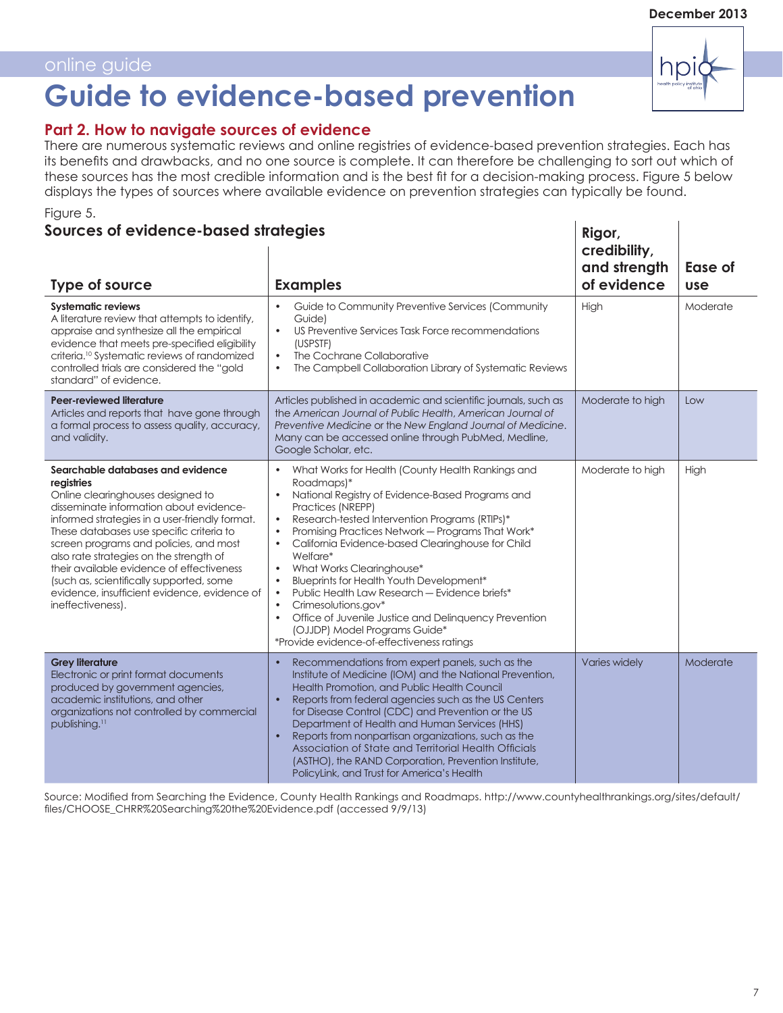# **Guide to evidence-based prevention**

### **Part 2. How to navigate sources of evidence**

Figure 5. There are numerous systematic reviews and online registries of evidence-based prevention strategies. Each has its benefits and drawbacks, and no one source is complete. It can therefore be challenging to sort out which of these sources has the most credible information and is the best fit for a decision-making process. Figure 5 below displays the types of sources where available evidence on prevention strategies can typically be found.

# **Sources of evidence-based strategies**

| <b>Type of source</b>                                                                                                                                                                                                                                                                                                                                                                                                                                                            | <b>Examples</b>                                                                                                                                                                                                                                                                                                                                                                                                                                                                                                                                                                                                                                                                                                                             | and strength<br>of evidence | Ease of<br><b>use</b> |
|----------------------------------------------------------------------------------------------------------------------------------------------------------------------------------------------------------------------------------------------------------------------------------------------------------------------------------------------------------------------------------------------------------------------------------------------------------------------------------|---------------------------------------------------------------------------------------------------------------------------------------------------------------------------------------------------------------------------------------------------------------------------------------------------------------------------------------------------------------------------------------------------------------------------------------------------------------------------------------------------------------------------------------------------------------------------------------------------------------------------------------------------------------------------------------------------------------------------------------------|-----------------------------|-----------------------|
| <b>Systematic reviews</b><br>A literature review that attempts to identify,<br>appraise and synthesize all the empirical<br>evidence that meets pre-specified eligibility<br>criteria. <sup>10</sup> Systematic reviews of randomized<br>controlled trials are considered the "gold<br>standard" of evidence.                                                                                                                                                                    | Guide to Community Preventive Services (Community<br>$\bullet$<br>Guide)<br>US Preventive Services Task Force recommendations<br>$\bullet$<br>(USPSTF)<br>The Cochrane Collaborative<br>$\bullet$<br>The Campbell Collaboration Library of Systematic Reviews<br>$\bullet$                                                                                                                                                                                                                                                                                                                                                                                                                                                                  | High                        | Moderate              |
| Peer-reviewed literature<br>Articles and reports that have gone through<br>a formal process to assess quality, accuracy,<br>and validity.                                                                                                                                                                                                                                                                                                                                        | Articles published in academic and scientific journals, such as<br>the American Journal of Public Health, American Journal of<br>Preventive Medicine or the New England Journal of Medicine.<br>Many can be accessed online through PubMed, Medline,<br>Google Scholar, etc.                                                                                                                                                                                                                                                                                                                                                                                                                                                                | Moderate to high            | Low                   |
| Searchable databases and evidence<br>registries<br>Online clearinghouses designed to<br>disseminate information about evidence-<br>informed strategies in a user-friendly format.<br>These databases use specific criteria to<br>screen programs and policies, and most<br>also rate strategies on the strength of<br>their available evidence of effectiveness<br>(such as, scientifically supported, some<br>evidence, insufficient evidence, evidence of<br>ineffectiveness). | What Works for Health (County Health Rankings and<br>$\bullet$<br>Roadmaps)*<br>National Registry of Evidence-Based Programs and<br>$\bullet$<br>Practices (NREPP)<br>Research-tested Intervention Programs (RTIPs)*<br>$\bullet$<br>Promising Practices Network - Programs That Work*<br>$\bullet$<br>California Evidence-based Clearinghouse for Child<br>$\bullet$<br>Welfare*<br>What Works Clearinghouse*<br>$\bullet$<br>Blueprints for Health Youth Development*<br>$\bullet$<br>Public Health Law Research - Evidence briefs*<br>$\bullet$<br>Crimesolutions.gov*<br>$\bullet$<br>Office of Juvenile Justice and Delinquency Prevention<br>$\bullet$<br>(OJJDP) Model Programs Guide*<br>*Provide evidence-of-effectiveness ratings | Moderate to high            | High                  |
| <b>Grey literature</b><br>Electronic or print format documents<br>produced by government agencies,<br>academic institutions, and other<br>organizations not controlled by commercial<br>publishing. <sup>11</sup>                                                                                                                                                                                                                                                                | Recommendations from expert panels, such as the<br>$\bullet$<br>Institute of Medicine (IOM) and the National Prevention,<br>Health Promotion, and Public Health Council<br>Reports from federal agencies such as the US Centers<br>$\bullet$<br>for Disease Control (CDC) and Prevention or the US<br>Department of Health and Human Services (HHS)<br>Reports from nonpartisan organizations, such as the<br>$\bullet$<br>Association of State and Territorial Health Officials<br>(ASTHO), the RAND Corporation, Prevention Institute,<br>PolicyLink, and Trust for America's Health                                                                                                                                                      | Varies widely               | Moderate              |

Source: Modified from Searching the Evidence, County Health Rankings and Roadmaps. http://www.countyhealthrankings.org/sites/default/ files/CHOOSE\_CHRR%20Searching%20the%20Evidence.pdf (accessed 9/9/13)



**Rigor, credibility,**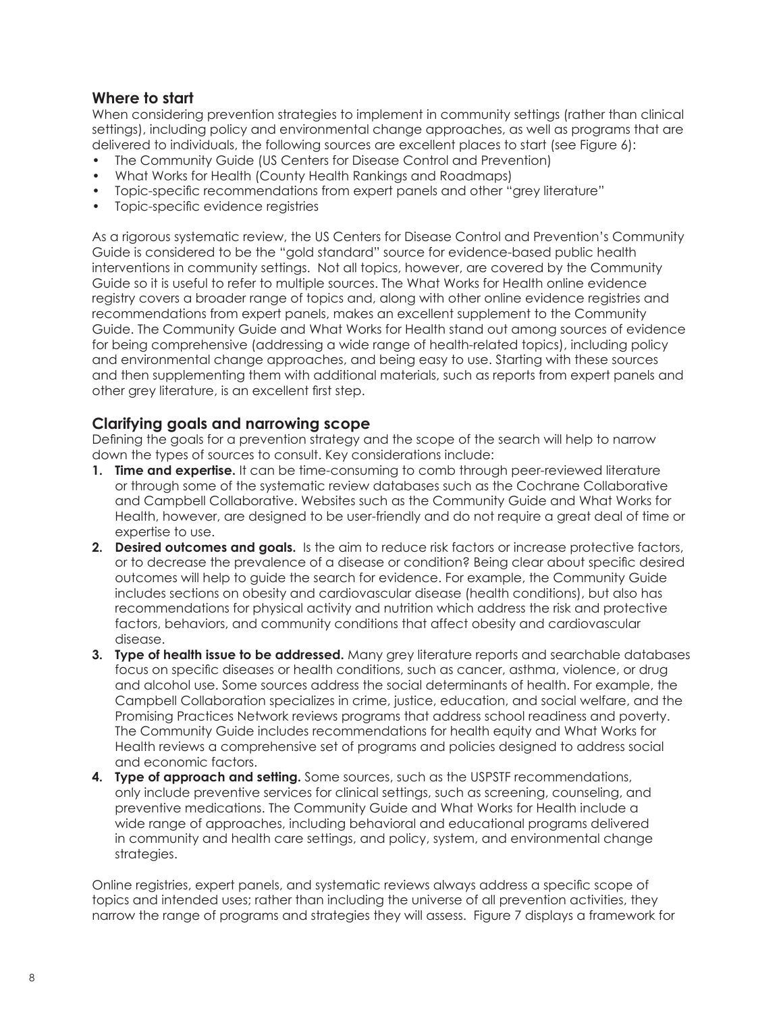### **Where to start**

When considering prevention strategies to implement in community settings (rather than clinical settings), including policy and environmental change approaches, as well as programs that are delivered to individuals, the following sources are excellent places to start (see Figure 6):

- The Community Guide (US Centers for Disease Control and Prevention)
- What Works for Health (County Health Rankings and Roadmaps)
- Topic-specific recommendations from expert panels and other "grey literature"
- Topic-specific evidence registries

As a rigorous systematic review, the US Centers for Disease Control and Prevention's Community Guide is considered to be the "gold standard" source for evidence-based public health interventions in community settings. Not all topics, however, are covered by the Community Guide so it is useful to refer to multiple sources. The What Works for Health online evidence registry covers a broader range of topics and, along with other online evidence registries and recommendations from expert panels, makes an excellent supplement to the Community Guide. The Community Guide and What Works for Health stand out among sources of evidence for being comprehensive (addressing a wide range of health-related topics), including policy and environmental change approaches, and being easy to use. Starting with these sources and then supplementing them with additional materials, such as reports from expert panels and other grey literature, is an excellent first step.

#### **Clarifying goals and narrowing scope**

Defining the goals for a prevention strategy and the scope of the search will help to narrow down the types of sources to consult. Key considerations include:

- **1. Time and expertise.** It can be time-consuming to comb through peer-reviewed literature or through some of the systematic review databases such as the Cochrane Collaborative and Campbell Collaborative. Websites such as the Community Guide and What Works for Health, however, are designed to be user-friendly and do not require a great deal of time or expertise to use.
- **2. Desired outcomes and goals.** Is the aim to reduce risk factors or increase protective factors, or to decrease the prevalence of a disease or condition? Being clear about specific desired outcomes will help to guide the search for evidence. For example, the Community Guide includes sections on obesity and cardiovascular disease (health conditions), but also has recommendations for physical activity and nutrition which address the risk and protective factors, behaviors, and community conditions that affect obesity and cardiovascular disease.
- **3. Type of health issue to be addressed.** Many grey literature reports and searchable databases focus on specific diseases or health conditions, such as cancer, asthma, violence, or drug and alcohol use. Some sources address the social determinants of health. For example, the Campbell Collaboration specializes in crime, justice, education, and social welfare, and the Promising Practices Network reviews programs that address school readiness and poverty. The Community Guide includes recommendations for health equity and What Works for Health reviews a comprehensive set of programs and policies designed to address social and economic factors.
- **4. Type of approach and setting.** Some sources, such as the USPSTF recommendations, only include preventive services for clinical settings, such as screening, counseling, and preventive medications. The Community Guide and What Works for Health include a wide range of approaches, including behavioral and educational programs delivered in community and health care settings, and policy, system, and environmental change strategies.

Online registries, expert panels, and systematic reviews always address a specific scope of topics and intended uses; rather than including the universe of all prevention activities, they narrow the range of programs and strategies they will assess. Figure 7 displays a framework for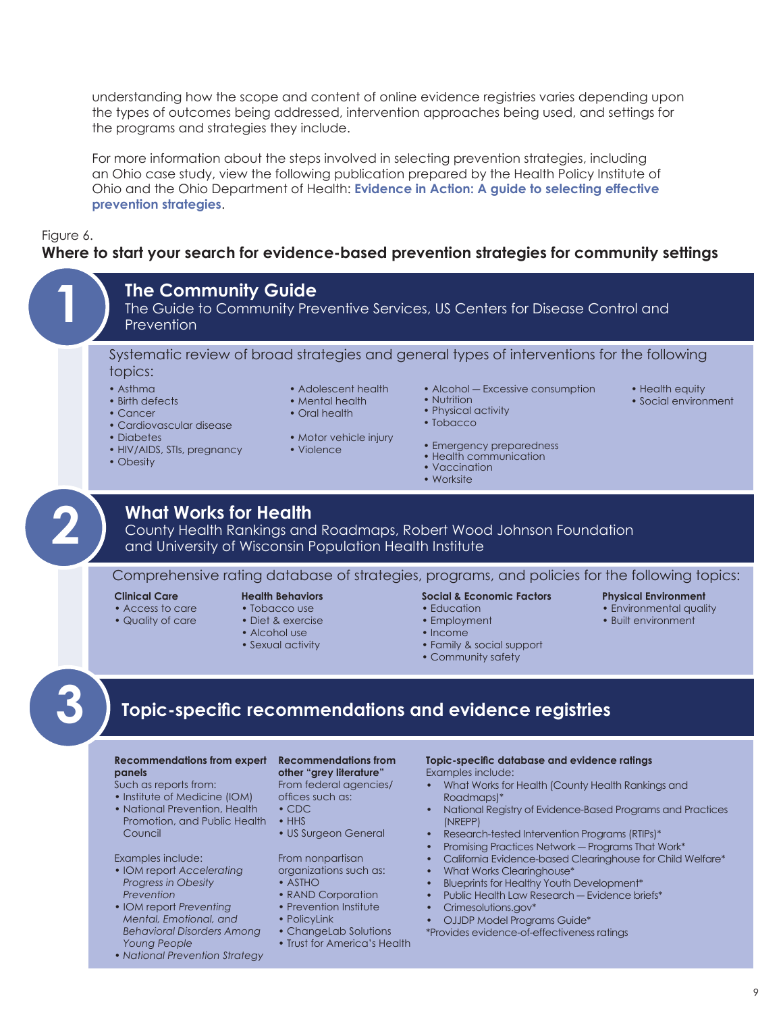understanding how the scope and content of online evidence registries varies depending upon the types of outcomes being addressed, intervention approaches being used, and settings for the programs and strategies they include.

For more information about the steps involved in selecting prevention strategies, including an Ohio case study, view the following publication prepared by the Health Policy Institute of Ohio and the Ohio Department of Health: **[Evidence in Action: A guide to selecting effective](http://a5e8c023c8899218225edfa4b02e4d9734e01a28.gripelements.com/pdf/publications/evidenceinactionohiodeliverable_astho_nnphi_final.pdf)  [prevention strategies](http://a5e8c023c8899218225edfa4b02e4d9734e01a28.gripelements.com/pdf/publications/evidenceinactionohiodeliverable_astho_nnphi_final.pdf)**.

#### Figure 6.

#### **Where to start your search for evidence-based prevention strategies for community settings**

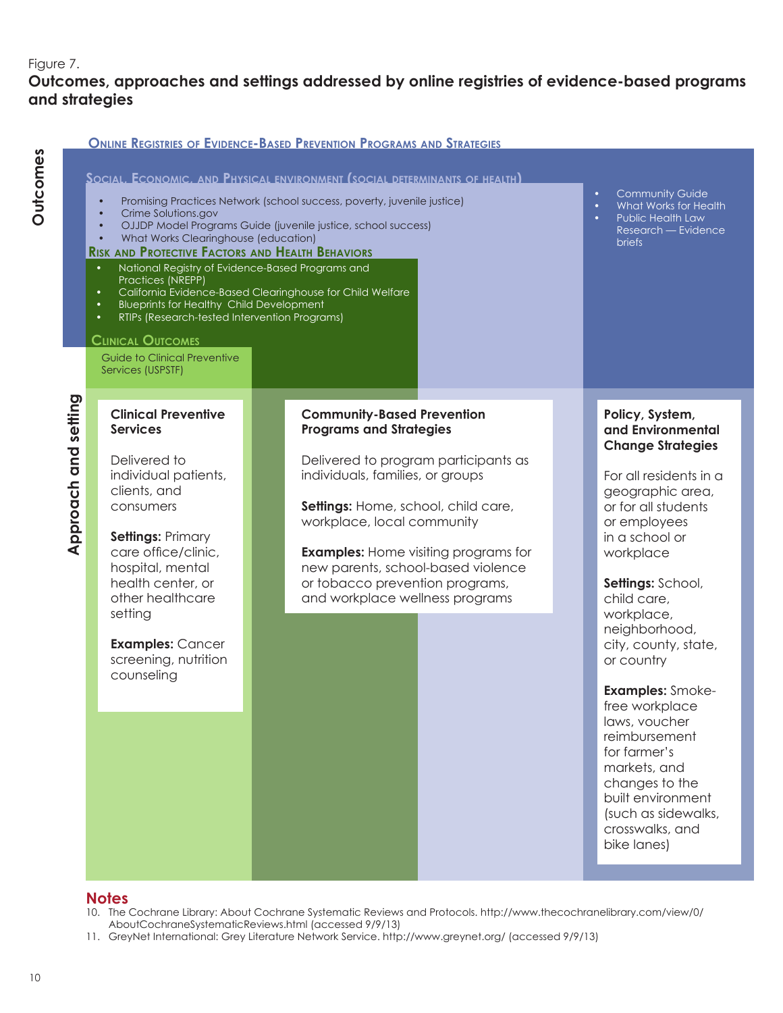### Figure 7.

# **Outcomes, approaches and settings addressed by online registries of evidence-based programs and strategies**

|                            |                                                                                                                                                                                                                                                                                                                                                                                                                                                                                             | <b>ONLINE REGISTRIES OF EVIDENCE-BASED PREVENTION PROGRAMS AND STRATEGIES</b>                                                                                                                                                                                                                                                                                                   |                                                                                                                                                                                                                                                                                                                                                                                                                                                                                                              |
|----------------------------|---------------------------------------------------------------------------------------------------------------------------------------------------------------------------------------------------------------------------------------------------------------------------------------------------------------------------------------------------------------------------------------------------------------------------------------------------------------------------------------------|---------------------------------------------------------------------------------------------------------------------------------------------------------------------------------------------------------------------------------------------------------------------------------------------------------------------------------------------------------------------------------|--------------------------------------------------------------------------------------------------------------------------------------------------------------------------------------------------------------------------------------------------------------------------------------------------------------------------------------------------------------------------------------------------------------------------------------------------------------------------------------------------------------|
|                            | $\bullet$<br>Crime Solutions.gov<br>$\bullet$<br>$\bullet$<br>What Works Clearinghouse (education)<br>$\bullet$<br><b>RISK AND PROTECTIVE FACTORS AND HEALTH BEHAVIORS</b><br>National Registry of Evidence-Based Programs and<br>$\bullet$<br>Practices (NREPP)<br>$\bullet$<br><b>Blueprints for Healthy Child Development</b><br>$\bullet$<br>RTIPs (Research-tested Intervention Programs)<br>٠<br><b>CLINICAL OUTCOMES</b><br><b>Guide to Clinical Preventive</b><br>Services (USPSTF) | SOCIAL, ECONOMIC, AND PHYSICAL ENVIRONMENT (SOCIAL DETERMINANTS OF HEALTH)<br>Promising Practices Network (school success, poverty, juvenile justice)<br>OJJDP Model Programs Guide (juvenile justice, school success)<br>California Evidence-Based Clearinghouse for Child Welfare                                                                                             | <b>Community Guide</b><br>What Works for Health<br>$\bullet$<br>Public Health Law<br>Research — Evidence<br><b>briefs</b>                                                                                                                                                                                                                                                                                                                                                                                    |
| setting<br>and<br>Approach | <b>Clinical Preventive</b><br><b>Services</b><br>Delivered to<br>individual patients,<br>clients, and<br>consumers<br><b>Settings: Primary</b><br>care office/clinic,<br>hospital, mental<br>health center, or<br>other healthcare<br>setting<br><b>Examples: Cancer</b><br>screening, nutrition<br>counseling                                                                                                                                                                              | <b>Community-Based Prevention</b><br><b>Programs and Strategies</b><br>Delivered to program participants as<br>individuals, families, or groups<br>Settings: Home, school, child care,<br>workplace, local community<br><b>Examples:</b> Home visiting programs for<br>new parents, school-based violence<br>or tobacco prevention programs,<br>and workplace wellness programs | Policy, System,<br>and Environmental<br><b>Change Strategies</b><br>For all residents in a<br>geographic area,<br>or for all students<br>or employees<br>in a school or<br>workplace<br>Settings: School,<br>child care,<br>workplace,<br>neighborhood,<br>city, county, state,<br>or country<br><b>Examples:</b> Smoke-<br>free workplace<br>laws, voucher<br>reimbursement<br>for farmer's<br>markets, and<br>changes to the<br>built environment<br>(such as sidewalks,<br>crosswalks, and<br>bike lanes) |

### **Notes**

- 10. The Cochrane Library: About Cochrane Systematic Reviews and Protocols. http://www.thecochranelibrary.com/view/0/ AboutCochraneSystematicReviews.html (accessed 9/9/13)
- 11. GreyNet International: Grey Literature Network Service. http://www.greynet.org/ (accessed 9/9/13)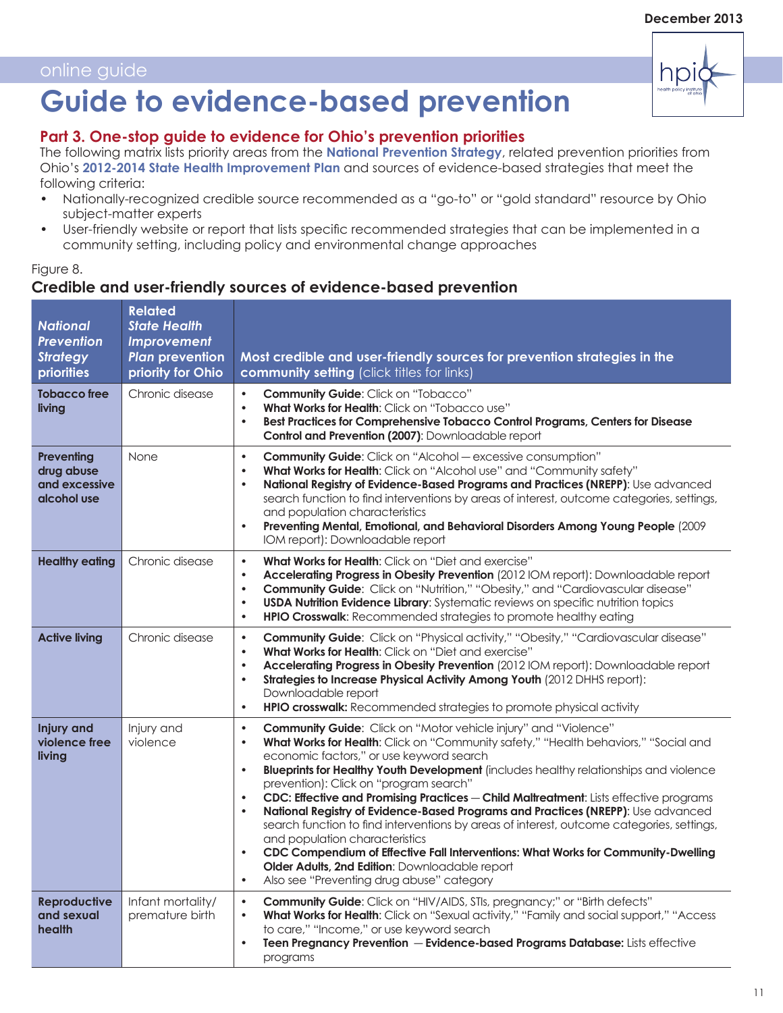# **Guide to evidence-based prevention**

# **Part 3. One-stop guide to evidence for Ohio's prevention priorities**

The following matrix lists priority areas from the **[National Prevention Strategy](http://www.surgeongeneral.gov/initiatives/prevention/strategy/)**, related prevention priorities from Ohio's **[2012-2014 State Health Improvement Plan](http://www.odh.ohio.gov/~/media/ODH/ASSETS/Files/lhd/Ohio%202012-14%20SHIP.ashx)** and sources of evidence-based strategies that meet the following criteria:

- Nationally-recognized credible source recommended as a "go-to" or "gold standard" resource by Ohio subject-matter experts
- User-friendly website or report that lists specific recommended strategies that can be implemented in a community setting, including policy and environmental change approaches

### Figure 8. **Credible and user-friendly sources of evidence-based prevention**

| <b>National</b><br><b>Prevention</b><br><b>Strategy</b><br>priorities | <b>Related</b><br><b>State Health</b><br>Improvement<br><b>Plan prevention</b><br>priority for Ohio | Most credible and user-friendly sources for prevention strategies in the<br>community setting (click titles for links)                                                                                                                                                                                                                                                                                                                                                                                                                                                                                                                                                                                                                                                                                                                                                                                                           |
|-----------------------------------------------------------------------|-----------------------------------------------------------------------------------------------------|----------------------------------------------------------------------------------------------------------------------------------------------------------------------------------------------------------------------------------------------------------------------------------------------------------------------------------------------------------------------------------------------------------------------------------------------------------------------------------------------------------------------------------------------------------------------------------------------------------------------------------------------------------------------------------------------------------------------------------------------------------------------------------------------------------------------------------------------------------------------------------------------------------------------------------|
| <b>Tobacco free</b><br>living                                         | Chronic disease                                                                                     | $\bullet$<br><b>Community Guide: Click on "Tobacco"</b><br>What Works for Health: Click on "Tobacco use"<br>$\bullet$<br>Best Practices for Comprehensive Tobacco Control Programs, Centers for Disease<br>$\bullet$<br>Control and Prevention (2007): Downloadable report                                                                                                                                                                                                                                                                                                                                                                                                                                                                                                                                                                                                                                                       |
| Preventing<br>drug abuse<br>and excessive<br>alcohol use              | None                                                                                                | <b>Community Guide:</b> Click on "Alcohol - excessive consumption"<br>$\bullet$<br>What Works for Health: Click on "Alcohol use" and "Community safety"<br>$\bullet$<br>National Registry of Evidence-Based Programs and Practices (NREPP): Use advanced<br>$\bullet$<br>search function to find interventions by areas of interest, outcome categories, settings,<br>and population characteristics<br>Preventing Mental, Emotional, and Behavioral Disorders Among Young People (2009<br>$\bullet$<br>IOM report): Downloadable report                                                                                                                                                                                                                                                                                                                                                                                         |
| <b>Healthy eating</b>                                                 | Chronic disease                                                                                     | What Works for Health: Click on "Diet and exercise"<br>$\bullet$<br>Accelerating Progress in Obesity Prevention (2012 IOM report): Downloadable report<br>$\bullet$<br>Community Guide: Click on "Nutrition," "Obesity," and "Cardiovascular disease"<br>$\bullet$<br><b>USDA Nutrition Evidence Library:</b> Systematic reviews on specific nutrition topics<br>$\bullet$<br>HPIO Crosswalk: Recommended strategies to promote healthy eating<br>$\bullet$                                                                                                                                                                                                                                                                                                                                                                                                                                                                      |
| <b>Active living</b>                                                  | Chronic disease                                                                                     | Community Guide: Click on "Physical activity," "Obesity," "Cardiovascular disease"<br>$\bullet$<br><b>What Works for Health:</b> Click on "Diet and exercise"<br>$\bullet$<br>Accelerating Progress in Obesity Prevention (2012 IOM report): Downloadable report<br>$\bullet$<br>Strategies to Increase Physical Activity Among Youth (2012 DHHS report):<br>$\bullet$<br>Downloadable report<br>HPIO crosswalk: Recommended strategies to promote physical activity<br>$\bullet$                                                                                                                                                                                                                                                                                                                                                                                                                                                |
| <b>Injury and</b><br>violence free<br>living                          | Injury and<br>violence                                                                              | Community Guide: Click on "Motor vehicle injury" and "Violence"<br>$\bullet$<br>What Works for Health: Click on "Community safety," "Health behaviors," "Social and<br>$\bullet$<br>economic factors," or use keyword search<br>Blueprints for Healthy Youth Development (includes healthy relationships and violence<br>$\bullet$<br>prevention): Click on "program search"<br>CDC: Effective and Promising Practices - Child Maltreatment: Lists effective programs<br>$\bullet$<br>National Registry of Evidence-Based Programs and Practices (NREPP): Use advanced<br>$\bullet$<br>search function to find interventions by areas of interest, outcome categories, settings,<br>and population characteristics<br>CDC Compendium of Effective Fall Interventions: What Works for Community-Dwelling<br>$\bullet$<br>Older Adults, 2nd Edition: Downloadable report<br>Also see "Preventing drug abuse" category<br>$\bullet$ |
| <b>Reproductive</b><br>and sexual<br>health                           | Infant mortality/<br>premature birth                                                                | Community Guide: Click on "HIV/AIDS, STIs, pregnancy;" or "Birth defects"<br>$\bullet$<br>What Works for Health: Click on "Sexual activity," "Family and social support," "Access<br>$\bullet$<br>to care," "Income," or use keyword search<br>Teen Pregnancy Prevention - Evidence-based Programs Database: Lists effective<br>$\bullet$<br>programs                                                                                                                                                                                                                                                                                                                                                                                                                                                                                                                                                                            |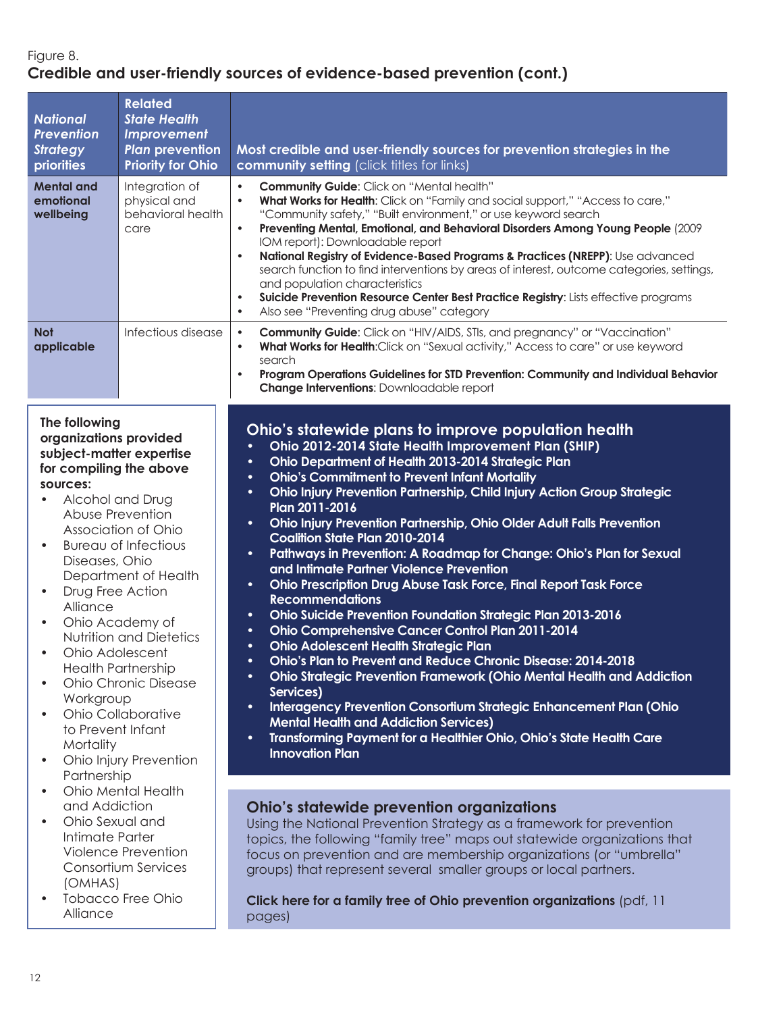# Figure 8. **Credible and user-friendly sources of evidence-based prevention (cont.)**

| <b>National</b><br><b>Prevention</b><br><b>Strategy</b><br>priorities                                                                                                                                                                                                                                                                                                                                                                                                                                                                                                                                     | <b>Related</b><br><b>State Health</b><br><b>Improvement</b><br><b>Plan prevention</b><br><b>Priority for Ohio</b> | Most credible and user-friendly sources for prevention strategies in the<br>community setting (click titles for links)                                                                                                                                                                                                                                                                                                                                                                                                                                                                                                                                                                                                                                                                                                                                                                                                                                                                                                                                                                                                                                                                                                                                                                                                                                                             |
|-----------------------------------------------------------------------------------------------------------------------------------------------------------------------------------------------------------------------------------------------------------------------------------------------------------------------------------------------------------------------------------------------------------------------------------------------------------------------------------------------------------------------------------------------------------------------------------------------------------|-------------------------------------------------------------------------------------------------------------------|------------------------------------------------------------------------------------------------------------------------------------------------------------------------------------------------------------------------------------------------------------------------------------------------------------------------------------------------------------------------------------------------------------------------------------------------------------------------------------------------------------------------------------------------------------------------------------------------------------------------------------------------------------------------------------------------------------------------------------------------------------------------------------------------------------------------------------------------------------------------------------------------------------------------------------------------------------------------------------------------------------------------------------------------------------------------------------------------------------------------------------------------------------------------------------------------------------------------------------------------------------------------------------------------------------------------------------------------------------------------------------|
| <b>Mental and</b><br>emotional<br>wellbeing                                                                                                                                                                                                                                                                                                                                                                                                                                                                                                                                                               | Integration of<br>physical and<br>behavioral health<br>care                                                       | <b>Community Guide: Click on "Mental health"</b><br>$\bullet$<br>What Works for Health: Click on "Family and social support," "Access to care,"<br>$\bullet$<br>"Community safety," "Built environment," or use keyword search<br>Preventing Mental, Emotional, and Behavioral Disorders Among Young People (2009<br>$\bullet$<br>IOM report): Downloadable report<br>National Registry of Evidence-Based Programs & Practices (NREPP): Use advanced<br>$\bullet$<br>search function to find interventions by areas of interest, outcome categories, settings,<br>and population characteristics<br>Suicide Prevention Resource Center Best Practice Registry: Lists effective programs<br>$\bullet$<br>Also see "Preventing drug abuse" category<br>$\bullet$                                                                                                                                                                                                                                                                                                                                                                                                                                                                                                                                                                                                                     |
| <b>Not</b><br>applicable                                                                                                                                                                                                                                                                                                                                                                                                                                                                                                                                                                                  | Infectious disease                                                                                                | Community Guide: Click on "HIV/AIDS, STIs, and pregnancy" or "Vaccination"<br>$\bullet$<br>What Works for Health: Click on "Sexual activity," Access to care" or use keyword<br>$\bullet$<br>search<br>Program Operations Guidelines for STD Prevention: Community and Individual Behavior<br>$\bullet$<br>Change Interventions: Downloadable report                                                                                                                                                                                                                                                                                                                                                                                                                                                                                                                                                                                                                                                                                                                                                                                                                                                                                                                                                                                                                               |
| The following<br>organizations provided<br>subject-matter expertise<br>for compiling the above<br>sources:<br>Alcohol and Drug<br>$\bullet$<br>Abuse Prevention<br>Association of Ohio<br><b>Bureau of Infectious</b><br>$\bullet$<br>Diseases, Ohio<br>Department of Health<br>Drug Free Action<br>$\bullet$<br>Alliance<br>Ohio Academy of<br>$\bullet$<br><b>Nutrition and Dietetics</b><br>Ohio Adolescent<br><b>Health Partnership</b><br>Ohio Chronic Disease<br>$\bullet$<br>Workgroup<br>Ohio Collaborative<br>$\bullet$<br>to Prevent Infant<br>Mortality<br>Ohio Injury Prevention<br>$\bullet$ |                                                                                                                   | Ohio's statewide plans to improve population health<br>Ohio 2012-2014 State Health Improvement Plan (SHIP)<br>$\bullet$<br>Ohio Department of Health 2013-2014 Strategic Plan<br>$\bullet$<br><b>Ohio's Commitment to Prevent Infant Mortality</b><br>$\bullet$<br>Ohio Injury Prevention Partnership, Child Injury Action Group Strategic<br>$\bullet$<br>Plan 2011-2016<br>Ohio Injury Prevention Partnership, Ohio Older Adult Falls Prevention<br>$\bullet$<br><b>Coalition State Plan 2010-2014</b><br>Pathways in Prevention: A Roadmap for Change: Ohio's Plan for Sexual<br>$\bullet$<br>and Intimate Partner Violence Prevention<br>Ohio Prescription Drug Abuse Task Force, Final Report Task Force<br>$\bullet$<br><b>Recommendations</b><br>Ohio Suicide Prevention Foundation Strategic Plan 2013-2016<br>$\bullet$<br>Ohio Comprehensive Cancer Control Plan 2011-2014<br>$\bullet$<br><b>Ohio Adolescent Health Strategic Plan</b><br>$\bullet$<br>Ohio's Plan to Prevent and Reduce Chronic Disease: 2014-2018<br>Ohio Strategic Prevention Framework (Ohio Mental Health and Addiction<br>$\bullet$<br>Services)<br>Interagency Prevention Consortium Strategic Enhancement Plan (Ohio<br>$\bullet$<br><b>Mental Health and Addiction Services)</b><br>Transforming Payment for a Healthier Ohio, Ohio's State Health Care<br>$\bullet$<br><b>Innovation Plan</b> |
| Ohio Mental Health<br>$\bullet$<br>and Addiction<br>Ohio Sexual and<br>$\bullet$<br>Intimate Parter<br>Violence Prevention<br>Consortium Services<br>(OMHAS)<br><b>Tobacco Free Ohio</b>                                                                                                                                                                                                                                                                                                                                                                                                                  |                                                                                                                   | <b>Ohio's statewide prevention organizations</b><br>Using the National Prevention Strategy as a framework for prevention<br>topics, the following "family tree" maps out statewide organizations that<br>focus on prevention and are membership organizations (or "umbrella"<br>groups) that represent several smaller groups or local partners.<br>Click here for a family tree of Ohio prevention organizations (pdf, 11                                                                                                                                                                                                                                                                                                                                                                                                                                                                                                                                                                                                                                                                                                                                                                                                                                                                                                                                                         |
| Alliance                                                                                                                                                                                                                                                                                                                                                                                                                                                                                                                                                                                                  |                                                                                                                   | pages)                                                                                                                                                                                                                                                                                                                                                                                                                                                                                                                                                                                                                                                                                                                                                                                                                                                                                                                                                                                                                                                                                                                                                                                                                                                                                                                                                                             |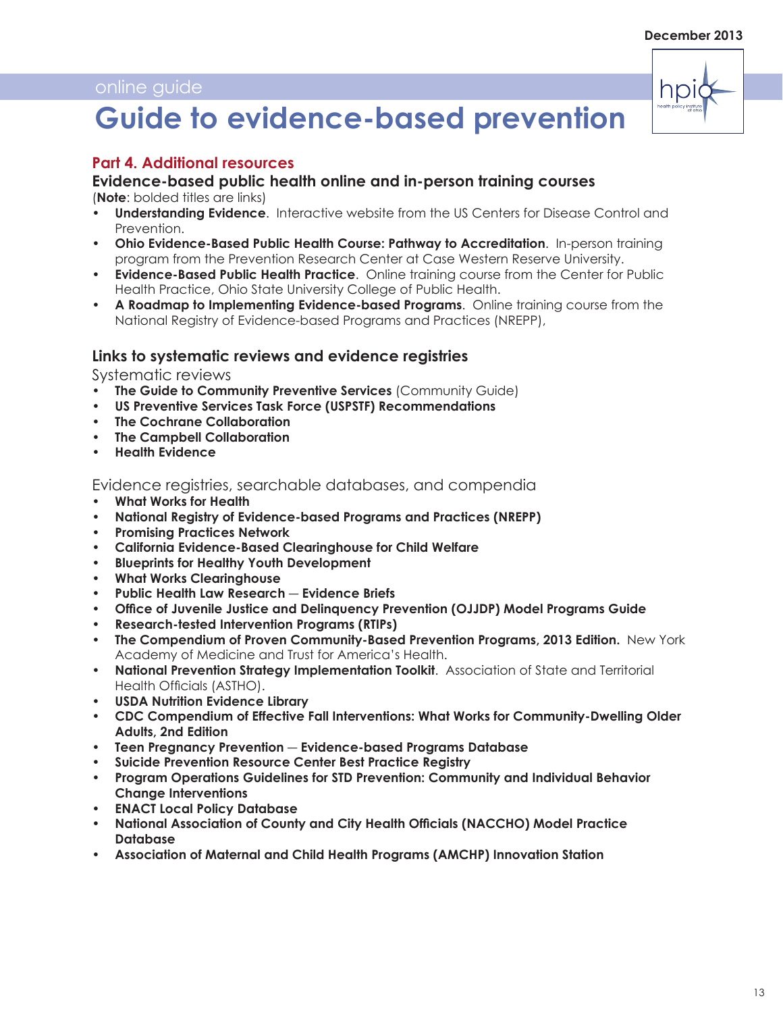

# **Guide to evidence-based prevention**

# **Part 4. Additional resources**

#### **Evidence-based public health online and in-person training courses**

(**Note**: bolded titles are links)

- **• [Understanding Evidence](http://vetoviolence.cdc.gov/evidence/#&panel1-1)**. Interactive website from the US Centers for Disease Control and Prevention.
- **• [Ohio Evidence-Based Public Health Course: Pathway to Accreditation](http://www.prchn.org/Evidence-BasedPublicHealthTrainingCourse.aspx)**. In-person training program from the Prevention Research Center at Case Western Reserve University.
- **• [Evidence-Based Public Health Practice](http://cph.osu.edu/practice/evidence-based-public-health-practice)**. Online training course from the Center for Public Health Practice, Ohio State University College of Public Health.
- **• [A Roadmap to Implementing Evidence-based Programs](http://www.nrepp.samhsa.gov/Courses/Implementations/NREPP_0101_0010.html)**. Online training course from the National Registry of Evidence-based Programs and Practices (NREPP),

#### **Links to systematic reviews and evidence registries**

Systematic reviews

- **• [The Guide to Community Preventive Services](http://www.thecommunityguide.org/index.html)** (Community Guide)
- **• [US Preventive Services Task Force \(USPSTF\) Recommendations](http://www.uspreventiveservicestaskforce.org/recommendations.htm)**
- **• [The Cochrane Collaboration](http://www.cochrane.org/)**
- **• [The Campbell Collaboration](http://www.campbellcollaboration.org/)**
- **• [Health Evidence](http://www.healthevidence.org/default.aspx)**

Evidence registries, searchable databases, and compendia

- **• [What Works for Health](http://www.countyhealthrankings.org/roadmaps/what-works-for-health)**
- **• [National Registry of Evidence-based Programs and Practices \(NREPP\)](http://www.nrepp.samhsa.gov/)**
- **• [Promising Practices Network](http://www.promisingpractices.net/programs.asp
)**
- **• [California Evidence-Based Clearinghouse for Child Welfare](http://www.cebc4cw.org/)**
- **• [Blueprints for Healthy Youth Development](http://www.blueprintsprograms.com/)**
- **• [What Works Clearinghouse]( http://ies.ed.gov/ncee/wwc/default.aspx
Crimesolutions.gov http://www.crimesolutions.gov/default.aspx)**
- **• [Public Health Law Research](http://publichealthlawresearch.org/public-health-topics)** ― **Evidence Briefs**
- **• [Office of Juvenile Justice and Delinquency Prevention \(OJJDP\) Model Programs Guide](http://www.ojjdp.gov/mpg/)**
- **• [Research-tested Intervention Programs \(RTIPs\)](http://rtips.cancer.gov/rtips/index.do)**
- **• [The Compendium of Proven Community-Based Prevention Programs, 2013 Edition.](http://healthyamericans.org/report/110/)** New York Academy of Medicine and Trust for America's Health.
- **• [National Prevention Strategy Implementation Toolkit](http://www.astho.org/NPS/Toolkit/)**. Association of State and Territorial Health Officials (ASTHO).
- **• [USDA Nutrition Evidence Library]( http://www.nel.gov/)**
- **• [CDC Compendium of Effective Fall Interventions: What Works for Community-Dwelling Older](http://www.cdc.gov/homeandrecreationalsafety/pdf/cdc_falls_compendium_lowres.pdf  )  [Adults, 2nd Edition](http://www.cdc.gov/homeandrecreationalsafety/pdf/cdc_falls_compendium_lowres.pdf   )**
- **• Teen Pregnancy Prevention** ― **[Evidence-based Programs Database](http://www.hhs.gov/ash/oah/oah-initiatives/teen_pregnancy/db/)**
- **• [Suicide Prevention Resource Center Best Practice Registry](http://www.sprc.org/bpr)**
- **• [Program Operations Guidelines for STD Prevention: Community and Individual Behavior](http://www.cdc.gov/std/program/community.pdf )  [Change Interventions](http://www.cdc.gov/std/program/community.pdf )**
- **• [ENACT Local Policy Database](http://eatbettermovemore.org/sa/policies/
)**
- **• [National Association of County and City Health Officials \(NACCHO\) Model Practice](https://eweb.naccho.org/eweb/DynamicPage.aspx?site=naccho&webcode=mpsearch
)  [Database](https://eweb.naccho.org/eweb/DynamicPage.aspx?site=naccho&webcode=mpsearch
)**
- **• [Association of Maternal and Child Health Programs \(AMCHP\) Innovation Station](http://www.amchp.org/programsandtopics/BestPractices/InnovationStation/Pages/default.aspx)**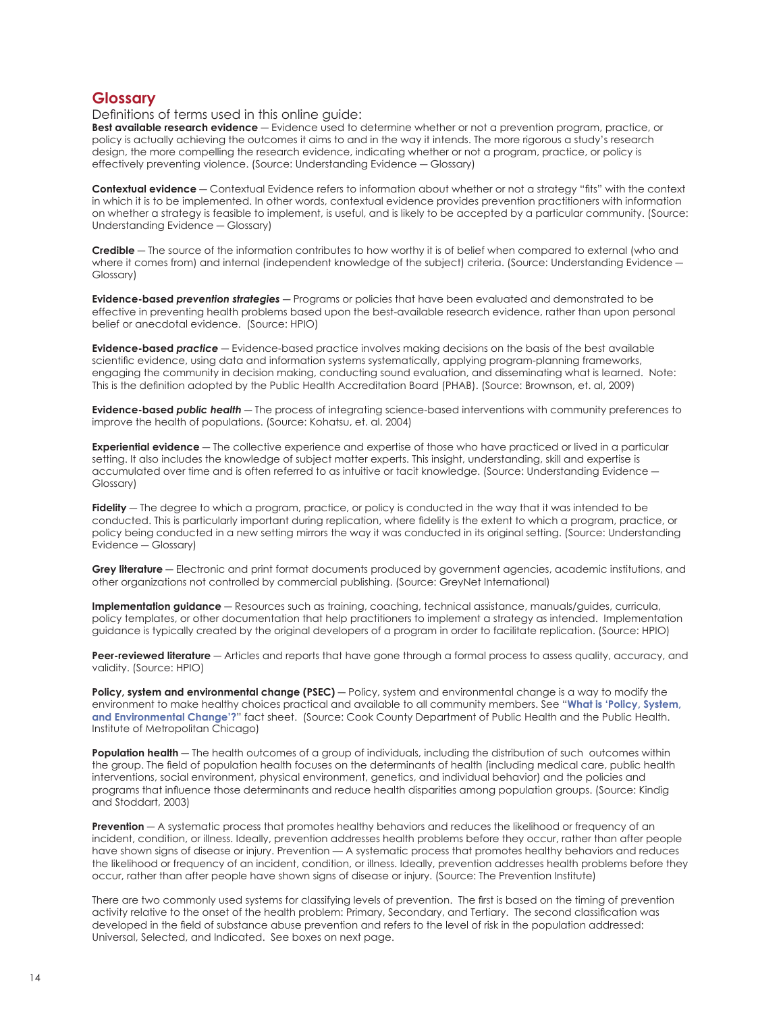#### **Glossary**

Definitions of terms used in this online guide:

**Best available research evidence** ― Evidence used to determine whether or not a prevention program, practice, or policy is actually achieving the outcomes it aims to and in the way it intends. The more rigorous a study's research design, the more compelling the research evidence, indicating whether or not a program, practice, or policy is effectively preventing violence. (Source: Understanding Evidence ― Glossary)

**Contextual evidence** ― Contextual Evidence refers to information about whether or not a strategy "fits" with the context in which it is to be implemented. In other words, contextual evidence provides prevention practitioners with information on whether a strategy is feasible to implement, is useful, and is likely to be accepted by a particular community. (Source: Understanding Evidence ― Glossary)

**Credible** ― The source of the information contributes to how worthy it is of belief when compared to external (who and where it comes from) and internal (independent knowledge of the subject) criteria. (Source: Understanding Evidence — Glossary)

**Evidence-based** *prevention strategies* ― Programs or policies that have been evaluated and demonstrated to be effective in preventing health problems based upon the best-available research evidence, rather than upon personal belief or anecdotal evidence. (Source: HPIO)

**Evidence-based** *practice* ― Evidence-based practice involves making decisions on the basis of the best available scientific evidence, using data and information systems systematically, applying program-planning frameworks, engaging the community in decision making, conducting sound evaluation, and disseminating what is learned. Note: This is the definition adopted by the Public Health Accreditation Board (PHAB). (Source: Brownson, et. al, 2009)

**Evidence-based** *public health* ― The process of integrating science-based interventions with community preferences to improve the health of populations. (Source: Kohatsu, et. al. 2004)

**Experiential evidence** ― The collective experience and expertise of those who have practiced or lived in a particular setting. It also includes the knowledge of subject matter experts. This insight, understanding, skill and expertise is accumulated over time and is often referred to as intuitive or tacit knowledge. (Source: Understanding Evidence -Glossary)

Fidelity — The degree to which a program, practice, or policy is conducted in the way that it was intended to be conducted. This is particularly important during replication, where fidelity is the extent to which a program, practice, or policy being conducted in a new setting mirrors the way it was conducted in its original setting. (Source: Understanding Evidence ― Glossary)

**Grey literature** ― Electronic and print format documents produced by government agencies, academic institutions, and other organizations not controlled by commercial publishing. (Source: GreyNet International)

**Implementation guidance** ― Resources such as training, coaching, technical assistance, manuals/guides, curricula, policy templates, or other documentation that help practitioners to implement a strategy as intended. Implementation guidance is typically created by the original developers of a program in order to facilitate replication. (Source: HPIO)

**Peer-reviewed literature** ― Articles and reports that have gone through a formal process to assess quality, accuracy, and validity. (Source: HPIO)

**Policy, system and environmental change (PSEC)** — Policy, system and environmental change is a way to modify the environment to make healthy choices practical and available to all community members. See "**[What is 'Policy, System,](http://a5e8c023c8899218225edfa4b02e4d9734e01a28.gripelements.com/pdf/OWPN/owpn_psec_factsheet.pdf)  [and Environmental Change'?](http://a5e8c023c8899218225edfa4b02e4d9734e01a28.gripelements.com/pdf/OWPN/owpn_psec_factsheet.pdf)**" fact sheet. (Source: Cook County Department of Public Health and the Public Health. Institute of Metropolitan Chicago)

**Population health** — The health outcomes of a group of individuals, including the distribution of such outcomes within the group. The field of population health focuses on the determinants of health (including medical care, public health interventions, social environment, physical environment, genetics, and individual behavior) and the policies and programs that influence those determinants and reduce health disparities among population groups. (Source: Kindig and Stoddart, 2003)

**Prevention** — A systematic process that promotes healthy behaviors and reduces the likelihood or frequency of an incident, condition, or illness. Ideally, prevention addresses health problems before they occur, rather than after people have shown signs of disease or injury. Prevention — A systematic process that promotes healthy behaviors and reduces the likelihood or frequency of an incident, condition, or illness. Ideally, prevention addresses health problems before they occur, rather than after people have shown signs of disease or injury. (Source: The Prevention Institute)

There are two commonly used systems for classifying levels of prevention. The first is based on the timing of prevention activity relative to the onset of the health problem: Primary, Secondary, and Tertiary. The second classification was developed in the field of substance abuse prevention and refers to the level of risk in the population addressed: Universal, Selected, and Indicated. See boxes on next page.